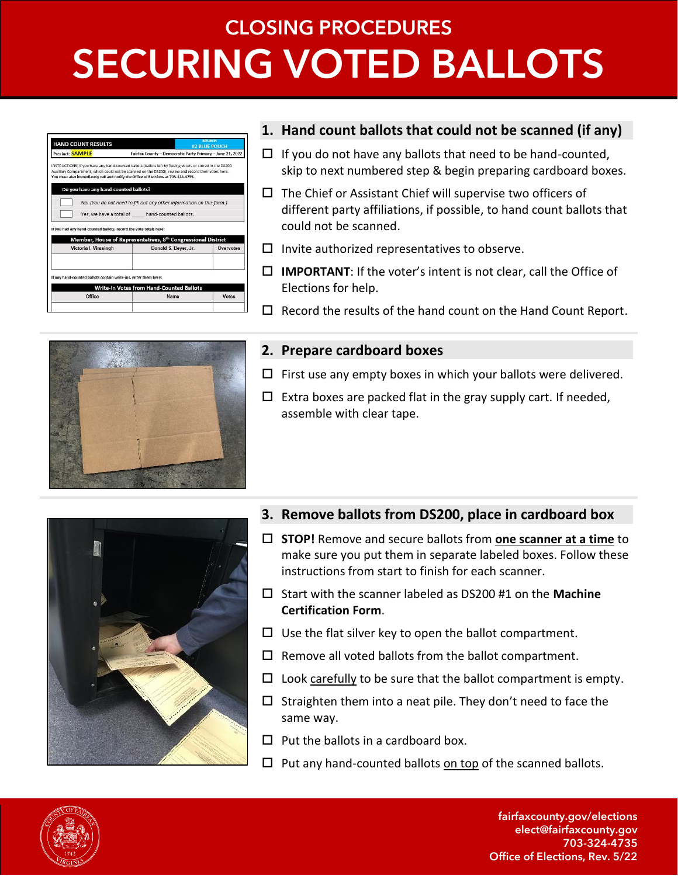# **CLOSING PROCEDURES SECURING VOTED BALLOTS**

| <b>HAND COUNT RESULTS</b>             |                                                                                                                                                                                                                                                                                                         | <b>#2 BLUE POUCH</b>                                      |
|---------------------------------------|---------------------------------------------------------------------------------------------------------------------------------------------------------------------------------------------------------------------------------------------------------------------------------------------------------|-----------------------------------------------------------|
| Precinct: <b>SAMPLE</b>               |                                                                                                                                                                                                                                                                                                         | Fairfax County - Democratic Party Primary - June 21, 2022 |
|                                       | INSTRUCTIONS: If you have any hand-counted ballots (ballots left by fleeing voters or stored in the DS200<br>Auxiliary Compartment, which could not be scanned on the DS200), review and record their votes here.<br>You must also immediately call and notify the Office of Elections at 703-324-4735. |                                                           |
| Do you have any hand-counted ballots? |                                                                                                                                                                                                                                                                                                         |                                                           |
|                                       | No. (You do not need to fill out any other information on this form.)                                                                                                                                                                                                                                   |                                                           |
|                                       |                                                                                                                                                                                                                                                                                                         |                                                           |
|                                       | Yes, we have a total of hand-counted ballots.                                                                                                                                                                                                                                                           |                                                           |
|                                       |                                                                                                                                                                                                                                                                                                         |                                                           |
|                                       | If you had any hand-counted ballots, record the vote totals here:<br>Member, House of Representatives, 8 <sup>th</sup> Congressional District                                                                                                                                                           |                                                           |
| Victoria I. Virasingh                 | Donald S. Beyer, Jr.                                                                                                                                                                                                                                                                                    | Overvotes                                                 |
|                                       |                                                                                                                                                                                                                                                                                                         |                                                           |
|                                       | If any hand-counted ballots contain write-ins, enter them here:                                                                                                                                                                                                                                         |                                                           |
|                                       | <b>Write-In Votes from Hand-Counted Ballots</b>                                                                                                                                                                                                                                                         |                                                           |

### **1. Hand count ballots that could not be scanned (if any)**

- $\Box$  If you do not have any ballots that need to be hand-counted, skip to next numbered step & begin preparing cardboard boxes.
- $\square$  The Chief or Assistant Chief will supervise two officers of different party affiliations, if possible, to hand count ballots that could not be scanned.
- $\square$  Invite authorized representatives to observe.
- **IMPORTANT**: If the voter's intent is not clear, call the Office of Elections for help.
- $\Box$  Record the results of the hand count on the Hand Count Report.



#### **2. Prepare cardboard boxes**

- $\Box$  First use any empty boxes in which your ballots were delivered.
- $\Box$  Extra boxes are packed flat in the gray supply cart. If needed, assemble with clear tape.



- **3. Remove ballots from DS200, place in cardboard box**
- **STOP!** Remove and secure ballots from **one scanner at a time** to make sure you put them in separate labeled boxes. Follow these instructions from start to finish for each scanner.
- Start with the scanner labeled as DS200 #1 on the **Machine Certification Form**.
- $\Box$  Use the flat silver key to open the ballot compartment.
- $\square$  Remove all voted ballots from the ballot compartment.
- $\square$  Look carefully to be sure that the ballot compartment is empty.
- $\Box$  Straighten them into a neat pile. They don't need to face the same way.
- $\Box$  Put the ballots in a cardboard box.
- $\Box$  Put any hand-counted ballots on top of the scanned ballots.



fairfaxcounty.gov/elections elect@fairfaxcounty.gov 703-324-4735 Office of Elections, Rev. 5/22